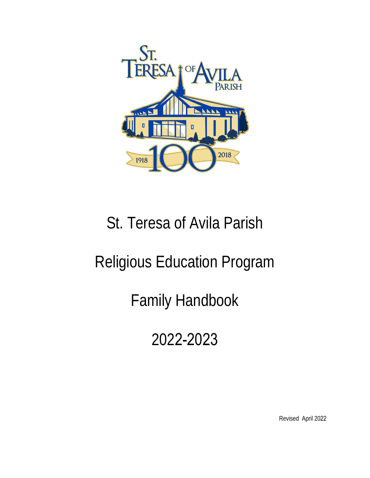

# St. Teresa of Avila Parish

## Religious Education Program

Family Handbook

2022-2023

Revised April 2022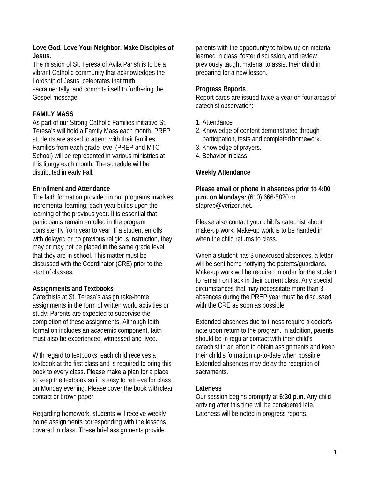#### **Love God. Love Your Neighbor. Make Disciples of Jesus.**

The mission of St. Teresa of Avila Parish is to be a vibrant Catholic community that acknowledges the Lordship of Jesus, celebrates that truth sacramentally, and commits itself to furthering the Gospel message.

## **FAMILY MASS**

As part of our Strong Catholic Families initiative St. Teresa's will hold a Family Mass each month. PREP students are asked to attend with their families. Families from each grade level (PREP and MTC School) will be represented in various ministries at this liturgy each month. The schedule will be distributed in early Fall.

## **Enrollment and Attendance**

The faith formation provided in our programs involves incremental learning; each year builds upon the learning of the previous year. It is essential that participants remain enrolled in the program consistently from year to year. If a student enrolls with delayed or no previous religious instruction, they may or may not be placed in the same grade level that they are in school. This matter must be discussed with the Coordinator (CRE) prior to the start of classes.

## **Assignments and Textbooks**

Catechists at St. Teresa's assign take-home assignments in the form of written work, activities or study. Parents are expected to supervise the completion of these assignments. Although faith formation includes an academic component, faith must also be experienced, witnessed and lived.

With regard to textbooks, each child receives a textbook at the first class and is required to bring this book to every class. Please make a plan for a place to keep the textbook so it is easy to retrieve for class on Monday evening. Please cover the book with clear contact or brown paper.

Regarding homework, students will receive weekly home assignments corresponding with the lessons covered in class. These brief assignments provide

parents with the opportunity to follow up on material learned in class, foster discussion, and review previously taught material to assist their child in preparing for a new lesson.

#### **Progress Reports**

Report cards are issued twice a year on four areas of catechist observation:

- 1. Attendance
- 2. Knowledge of content demonstrated through participation, tests and completed homework.
- 3. Knowledge of prayers.
- 4. Behavior in class.

#### **Weekly Attendance**

**Please email or phone in absences prior to 4:00 p.m. on Mondays:** (610) 666-5820 or [staprep@verizon.net.](mailto:staprep@verizon.net)

Please also contact your child's catechist about make-up work. Make-up work is to be handed in when the child returns to class.

When a student has 3 unexcused absences, a letter will be sent home notifying the parents/guardians. Make-up work will be required in order for the student to remain on track in their current class. Any special circumstances that may necessitate more than 3 absences during the PREP year must be discussed with the CRE as soon as possible.

Extended absences due to illness require a doctor's note upon return to the program. In addition, parents should be in regular contact with their child's catechist in an effort to obtain assignments and keep their child's formation up-to-date when possible. Extended absences may delay the reception of sacraments.

#### **Lateness**

Our session begins promptly at **6:30 p.m.** Any child arriving after this time will be considered late. Lateness will be noted in progress reports.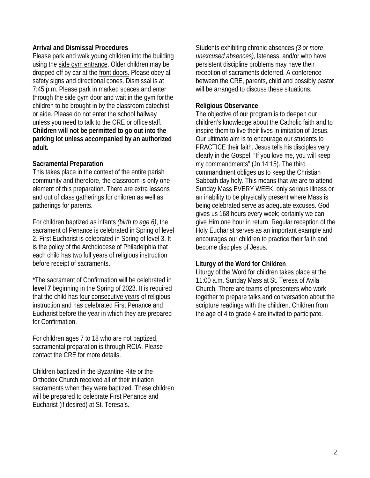#### **Arrival and Dismissal Procedures**

Please park and walk young children into the building using the side gym entrance. Older children may be dropped off by car at the front doors. Please obey all safety signs and directional cones. Dismissal is at 7:45 p.m. Please park in marked spaces and enter through the side gym door and wait in the gym forthe children to be brought in by the classroom catechist or aide. Please do not enter the school hallway unless you need to talk to the CRE or office staff. **Children will not be permitted to go out into the parking lot unless accompanied by an authorized adult.** 

#### **Sacramental Preparation**

This takes place in the context of the entire parish community and therefore, the classroom is only one element of this preparation. There are extra lessons and out of class gatherings for children as well as gatherings for parents.

For children baptized as infants *(birth to age 6)*, the sacrament of Penance is celebrated in Spring of level 2. First Eucharist is celebrated in Spring of level 3. It is the policy of the Archdiocese of Philadelphia that each child has two full years of religious instruction before receipt of sacraments.

\*The sacrament of Confirmation will be celebrated in **level 7** beginning in the Spring of 2023. It is required that the child has four consecutive years of religious instruction and has celebrated First Penance and Eucharist before the year in which they are prepared for Confirmation.

For children ages 7 to 18 who are not baptized, sacramental preparation is through RCIA. Please contact the CRE for more details.

Children baptized in the Byzantine Rite or the Orthodox Church received all of their initiation sacraments when they were baptized. These children will be prepared to celebrate First Penance and Eucharist (if desired) at St. Teresa's.

Students exhibiting chronic absences *(3 or more unexcused absences)*, lateness, and/or who have persistent discipline problems may have their reception of sacraments deferred. A conference between the CRE, parents, child and possibly pastor will be arranged to discuss these situations.

#### **Religious Observance**

The objective of our program is to deepen our children's knowledge about the Catholic faith and to inspire them to live their lives in imitation of Jesus. Our ultimate aim is to encourage our students to PRACTICE their faith. Jesus tells his disciples very clearly in the Gospel, "If you love me, you will keep my commandments" (Jn 14:15). The third commandment obliges us to keep the Christian Sabbath day holy. This means that we are to attend Sunday Mass EVERY WEEK; only serious illness or an inability to be physically present where Mass is being celebrated serve as adequate excuses. God gives us 168 hours every week; certainly we can give Him one hour in return. Regular reception of the Holy Eucharist serves as an important example and encourages our children to practice their faith and become disciples of Jesus.

#### **Liturgy of the Word for Children**

Liturgy of the Word for children takes place at the 11:00 a.m. Sunday Mass at St. Teresa of Avila Church. There are teams of presenters who work together to prepare talks and conversation about the scripture readings with the children. Children from the age of 4 to grade 4 are invited to participate.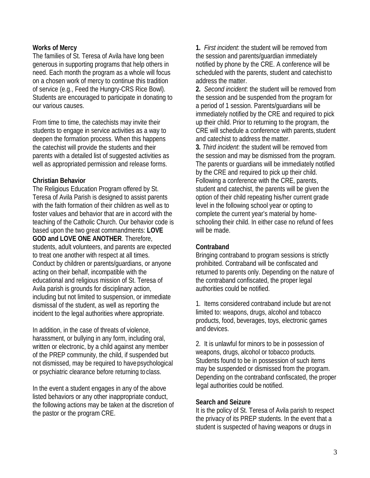#### **Works of Mercy**

The families of St. Teresa of Avila have long been generous in supporting programs that help others in need. Each month the program as a whole will focus on a chosen work of mercy to continue this tradition of service (e.g., Feed the Hungry-CRS Rice Bowl). Students are encouraged to participate in donating to our various causes.

From time to time, the catechists may invite their students to engage in service activities as a way to deepen the formation process. When this happens the catechist will provide the students and their parents with a detailed list of suggested activities as well as appropriated permission and release forms.

#### **Christian Behavior**

The Religious Education Program offered by St. Teresa of Avila Parish is designed to assist parents with the faith formation of their children as well as to foster values and behavior that are in accord with the teaching of the Catholic Church. Our behavior code is based upon the two great commandments: **LOVE GOD and LOVE ONE ANOTHER**. Therefore, students, adult volunteers, and parents are expected to treat one another with respect at all times. Conduct by children or parents/guardians, or anyone acting on their behalf, incompatible with the educational and religious mission of St. Teresa of Avila parish is grounds for disciplinary action, including but not limited to suspension, or immediate dismissal of the student, as well as reporting the incident to the legal authorities where appropriate.

In addition, in the case of threats of violence, harassment, or bullying in any form, including oral, written or electronic, by a child against any member of the PREP community, the child, if suspended but not dismissed, may be required to have psychological or psychiatric clearance before returning to class.

In the event a student engages in any of the above listed behaviors or any other inappropriate conduct, the following actions may be taken at the discretion of the pastor or the program CRE.

**1.** *First incident*: the student will be removed from the session and parents/guardian immediately notified by phone by the CRE. A conference will be scheduled with the parents, student and catechist to address the matter.

**2.** *Second incident*: the student will be removed from the session and be suspended from the program for a period of 1 session. Parents/guardians will be immediately notified by the CRE and required to pick up their child. Prior to returning to the program, the CRE will schedule a conference with parents, student and catechist to address the matter.

**3.** *Third incident*: the student will be removed from the session and may be dismissed from the program. The parents or guardians will be immediately notified by the CRE and required to pick up their child. Following a conference with the CRE, parents, student and catechist, the parents will be given the option of their child repeating his/her current grade level in the following school year or opting to complete the current year's material by homeschooling their child. In either case no refund of fees will be made.

#### **Contraband**

Bringing contraband to program sessions is strictly prohibited. Contraband will be confiscated and returned to parents only. Depending on the nature of the contraband confiscated, the proper legal authorities could be notified.

1. Items considered contraband include but are not limited to: weapons, drugs, alcohol and tobacco products, food, beverages, toys, electronic games and devices.

2. It is unlawful for minors to be in possession of weapons, drugs, alcohol or tobacco products. Students found to be in possession of such items may be suspended or dismissed from the program. Depending on the contraband confiscated, the proper legal authorities could be notified.

#### **Search and Seizure**

It is the policy of St. Teresa of Avila parish to respect the privacy of its PREP students. In the event that a student is suspected of having weapons or drugs in